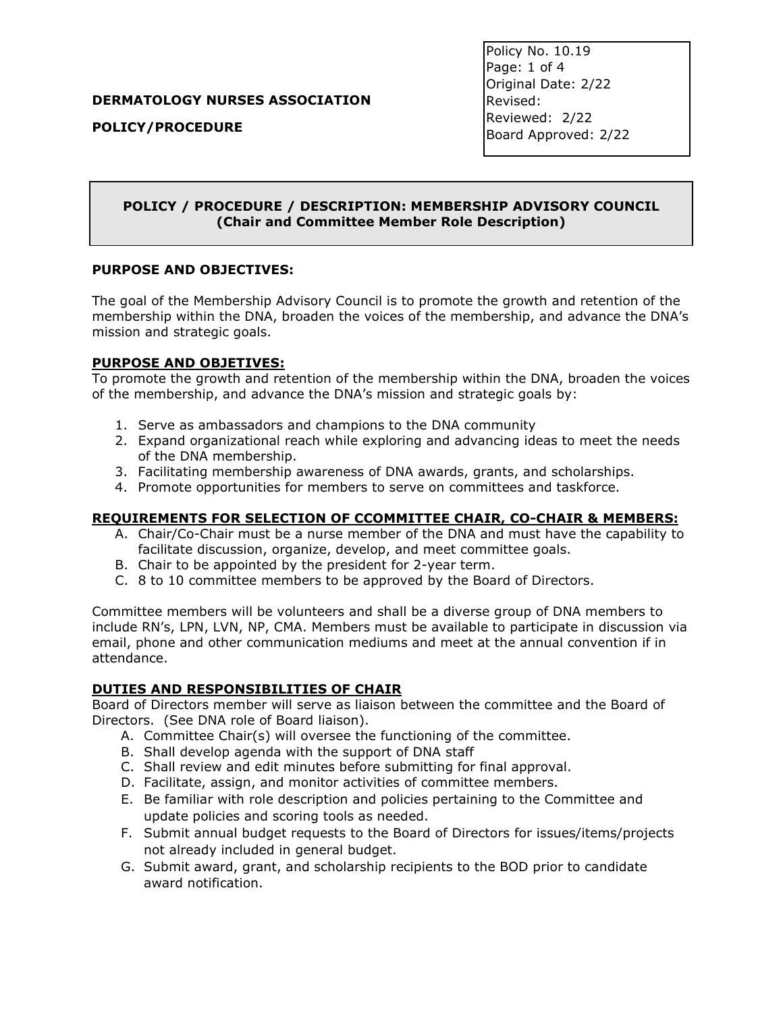#### **DERMATOLOGY NURSES ASSOCIATION**

**POLICY/PROCEDURE**

Policy No. 10.19 Page: 1 of 4 Original Date: 2/22 Revised: Reviewed: 2/22 Board Approved: 2/22

## **POLICY / PROCEDURE / DESCRIPTION: MEMBERSHIP ADVISORY COUNCIL (Chair and Committee Member Role Description)**

#### **PURPOSE AND OBJECTIVES:**

The goal of the Membership Advisory Council is to promote the growth and retention of the membership within the DNA, broaden the voices of the membership, and advance the DNA's mission and strategic goals.

### **PURPOSE AND OBJETIVES:**

To promote the growth and retention of the membership within the DNA, broaden the voices of the membership, and advance the DNA's mission and strategic goals by:

- 1. Serve as ambassadors and champions to the DNA community
- 2. Expand organizational reach while exploring and advancing ideas to meet the needs of the DNA membership.
- 3. Facilitating membership awareness of DNA awards, grants, and scholarships.
- 4. Promote opportunities for members to serve on committees and taskforce.

### **REQUIREMENTS FOR SELECTION OF CCOMMITTEE CHAIR, CO-CHAIR & MEMBERS:**

- A. Chair/Co-Chair must be a nurse member of the DNA and must have the capability to facilitate discussion, organize, develop, and meet committee goals.
- B. Chair to be appointed by the president for 2-year term.
- C. 8 to 10 committee members to be approved by the Board of Directors.

Committee members will be volunteers and shall be a diverse group of DNA members to include RN's, LPN, LVN, NP, CMA. Members must be available to participate in discussion via email, phone and other communication mediums and meet at the annual convention if in attendance.

### **DUTIES AND RESPONSIBILITIES OF CHAIR**

Board of Directors member will serve as liaison between the committee and the Board of Directors. (See DNA role of Board liaison).

- A. Committee Chair(s) will oversee the functioning of the committee.
- B. Shall develop agenda with the support of DNA staff
- C. Shall review and edit minutes before submitting for final approval.
- D. Facilitate, assign, and monitor activities of committee members.
- E. Be familiar with role description and policies pertaining to the Committee and update policies and scoring tools as needed.
- F. Submit annual budget requests to the Board of Directors for issues/items/projects not already included in general budget.
- G. Submit award, grant, and scholarship recipients to the BOD prior to candidate award notification.